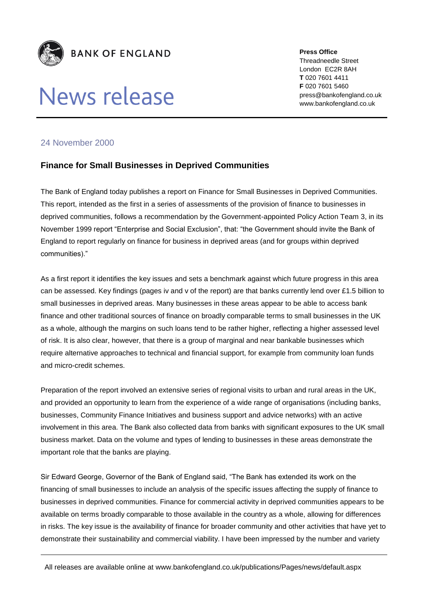

# News release

**Press Office** Threadneedle Street London EC2R 8AH **T** 020 7601 4411 **F** 020 7601 5460 press@bankofengland.co.uk www.bankofengland.co.uk

## 24 November 2000

## **Finance for Small Businesses in Deprived Communities**

The Bank of England today publishes a report on Finance for Small Businesses in Deprived Communities. This report, intended as the first in a series of assessments of the provision of finance to businesses in deprived communities, follows a recommendation by the Government-appointed Policy Action Team 3, in its November 1999 report "Enterprise and Social Exclusion", that: "the Government should invite the Bank of England to report regularly on finance for business in deprived areas (and for groups within deprived communities)."

As a first report it identifies the key issues and sets a benchmark against which future progress in this area can be assessed. Key findings (pages iv and v of the report) are that banks currently lend over £1.5 billion to small businesses in deprived areas. Many businesses in these areas appear to be able to access bank finance and other traditional sources of finance on broadly comparable terms to small businesses in the UK as a whole, although the margins on such loans tend to be rather higher, reflecting a higher assessed level of risk. It is also clear, however, that there is a group of marginal and near bankable businesses which require alternative approaches to technical and financial support, for example from community loan funds and micro-credit schemes.

Preparation of the report involved an extensive series of regional visits to urban and rural areas in the UK, and provided an opportunity to learn from the experience of a wide range of organisations (including banks, businesses, Community Finance Initiatives and business support and advice networks) with an active involvement in this area. The Bank also collected data from banks with significant exposures to the UK small business market. Data on the volume and types of lending to businesses in these areas demonstrate the important role that the banks are playing.

Sir Edward George, Governor of the Bank of England said, "The Bank has extended its work on the financing of small businesses to include an analysis of the specific issues affecting the supply of finance to businesses in deprived communities. Finance for commercial activity in deprived communities appears to be available on terms broadly comparable to those available in the country as a whole, allowing for differences in risks. The key issue is the availability of finance for broader community and other activities that have yet to demonstrate their sustainability and commercial viability. I have been impressed by the number and variety